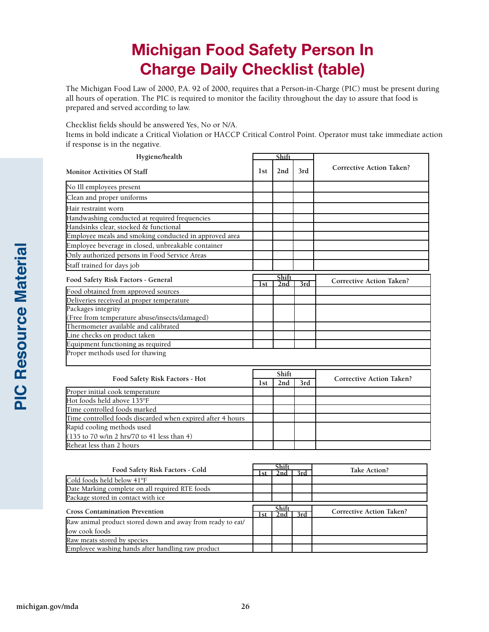## **Michigan Food Safety Person In Charge Daily Checklist (table)**

The Michigan Food Law of 2000, P.A. 92 of 2000, requires that a Person-in-Charge (PIC) must be present during all hours of operation. The PIC is required to monitor the facility throughout the day to assure that food is prepared and served according to law.

Checklist fields should be answered Yes, No or N/A.

Items in bold indicate a Critical Violation or HACCP Critical Control Point. Operator must take immediate action if response is in the negative.

| Hygiene/health                                             | Shift      |                            |                  |                                 |
|------------------------------------------------------------|------------|----------------------------|------------------|---------------------------------|
| <b>Monitor Activities Of Staff</b>                         | 1st        | 2nd                        | 3rd              | <b>Corrective Action Taken?</b> |
| No Ill employees present                                   |            |                            |                  |                                 |
| Clean and proper uniforms                                  |            |                            |                  |                                 |
| Hair restraint worn                                        |            |                            |                  |                                 |
| Handwashing conducted at required frequencies              |            |                            |                  |                                 |
| Handsinks clear, stocked & functional                      |            |                            |                  |                                 |
| Employee meals and smoking conducted in approved area      |            |                            |                  |                                 |
| Employee beverage in closed, unbreakable container         |            |                            |                  |                                 |
| Only authorized persons in Food Service Areas              |            |                            |                  |                                 |
| Staff trained for days job                                 |            |                            |                  |                                 |
| Food Safety Risk Factors - General                         | 1st        | Shift<br>2nd               | $\overline{3rd}$ | <b>Corrective Action Taken?</b> |
| Food obtained from approved sources                        |            |                            |                  |                                 |
| Deliveries received at proper temperature                  |            |                            |                  |                                 |
| Packages integrity                                         |            |                            |                  |                                 |
| (Free from temperature abuse/insects/damaged)              |            |                            |                  |                                 |
| Thermometer available and calibrated                       |            |                            |                  |                                 |
| Line checks on product taken                               |            |                            |                  |                                 |
| Equipment functioning as required                          |            |                            |                  |                                 |
| Proper methods used for thawing                            |            |                            |                  |                                 |
|                                                            | Shift      |                            |                  |                                 |
| Food Safety Risk Factors - Hot                             | <b>1st</b> | 2nd                        | 3rd              | <b>Corrective Action Taken?</b> |
| Proper initial cook temperature                            |            |                            |                  |                                 |
| Hot foods held above 135°F                                 |            |                            |                  |                                 |
| Time controlled foods marked                               |            |                            |                  |                                 |
| Time controlled foods discarded when expired after 4 hours |            |                            |                  |                                 |
| Rapid cooling methods used                                 |            |                            |                  |                                 |
| (135 to 70 w/in 2 hrs/70 to 41 less than 4)                |            |                            |                  |                                 |
| Reheat less than 2 hours                                   |            |                            |                  |                                 |
|                                                            |            |                            |                  |                                 |
| Food Safety Risk Factors - Cold                            |            | Shift<br>3rd<br>2nd<br>1st |                  | Take Action?                    |
|                                                            |            |                            |                  |                                 |

| Food Safety Risk Factors - Cold                            | эпп   |  |     | Take Action?                    |
|------------------------------------------------------------|-------|--|-----|---------------------------------|
|                                                            | l st  |  | 3rd |                                 |
| Cold foods held below 41°F                                 |       |  |     |                                 |
| Date Marking complete on all required RTE foods            |       |  |     |                                 |
| Package stored in contact with ice                         |       |  |     |                                 |
| <b>Cross Contamination Prevention</b>                      | Shift |  |     |                                 |
|                                                            | l st  |  | 3rd | <b>Corrective Action Taken?</b> |
| Raw animal product stored down and away from ready to eat/ |       |  |     |                                 |
| low cook foods                                             |       |  |     |                                 |
|                                                            |       |  |     |                                 |
| Raw meats stored by species                                |       |  |     |                                 |